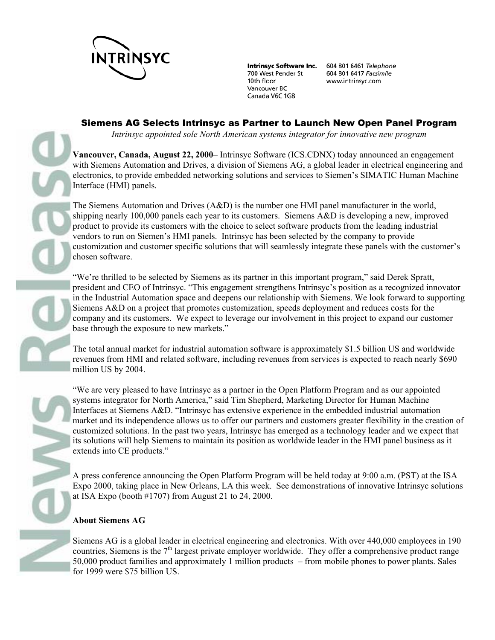

700 West Pender St 10th floor Vancouver BC Canada V6C 1G8

Intrinsyc Software Inc. 604 801 6461 Telephone 604 801 6417 Facsimile www.intrinsyc.com

## Siemens AG Selects Intrinsyc as Partner to Launch New Open Panel Program

*Intrinsyc appointed sole North American systems integrator for innovative new program* 

**Vancouver, Canada, August 22, 2000**– Intrinsyc Software (ICS.CDNX) today announced an engagement with Siemens Automation and Drives, a division of Siemens AG, a global leader in electrical engineering and electronics, to provide embedded networking solutions and services to Siemen's SIMATIC Human Machine Interface (HMI) panels.

The Siemens Automation and Drives (A&D) is the number one HMI panel manufacturer in the world, shipping nearly 100,000 panels each year to its customers. Siemens A&D is developing a new, improved product to provide its customers with the choice to select software products from the leading industrial vendors to run on Siemen's HMI panels. Intrinsyc has been selected by the company to provide customization and customer specific solutions that will seamlessly integrate these panels with the customer's chosen software.

"We're thrilled to be selected by Siemens as its partner in this important program," said Derek Spratt, president and CEO of Intrinsyc. "This engagement strengthens Intrinsyc's position as a recognized innovator in the Industrial Automation space and deepens our relationship with Siemens. We look forward to supporting Siemens A&D on a project that promotes customization, speeds deployment and reduces costs for the company and its customers. We expect to leverage our involvement in this project to expand our customer base through the exposure to new markets."

The total annual market for industrial automation software is approximately \$1.5 billion US and worldwide revenues from HMI and related software, including revenues from services is expected to reach nearly \$690 million US by 2004.

"We are very pleased to have Intrinsyc as a partner in the Open Platform Program and as our appointed systems integrator for North America," said Tim Shepherd, Marketing Director for Human Machine Interfaces at Siemens A&D. "Intrinsyc has extensive experience in the embedded industrial automation market and its independence allows us to offer our partners and customers greater flexibility in the creation of customized solutions. In the past two years, Intrinsyc has emerged as a technology leader and we expect that its solutions will help Siemens to maintain its position as worldwide leader in the HMI panel business as it extends into CE products."

A press conference announcing the Open Platform Program will be held today at 9:00 a.m. (PST) at the ISA Expo 2000, taking place in New Orleans, LA this week. See demonstrations of innovative Intrinsyc solutions at ISA Expo (booth #1707) from August 21 to 24, 2000.

## **About Siemens AG**

Siemens AG is a global leader in electrical engineering and electronics. With over 440,000 employees in 190 countries, Siemens is the  $7<sup>th</sup>$  largest private employer worldwide. They offer a comprehensive product range 50,000 product families and approximately 1 million products – from mobile phones to power plants. Sales for 1999 were \$75 billion US.